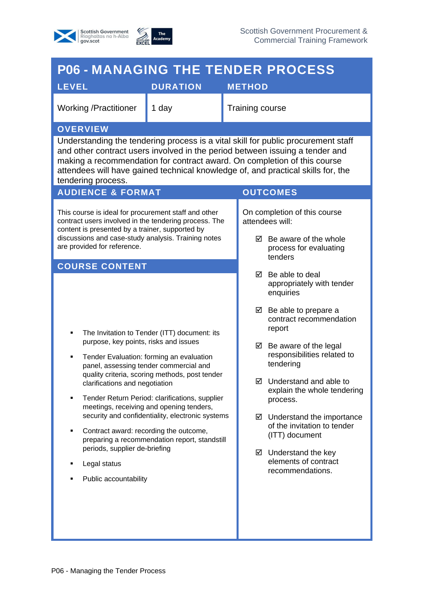



| <b>P06 - MANAGING THE TENDER PROCESS</b>                                                                                                                                                                                                               |                                                                                                                                                                                                                                                                                                                                                                                         |                                                                                      |                                                                                                                                                                                                                                                                                                                                                                                                                                                                                   |  |  |
|--------------------------------------------------------------------------------------------------------------------------------------------------------------------------------------------------------------------------------------------------------|-----------------------------------------------------------------------------------------------------------------------------------------------------------------------------------------------------------------------------------------------------------------------------------------------------------------------------------------------------------------------------------------|--------------------------------------------------------------------------------------|-----------------------------------------------------------------------------------------------------------------------------------------------------------------------------------------------------------------------------------------------------------------------------------------------------------------------------------------------------------------------------------------------------------------------------------------------------------------------------------|--|--|
| <b>LEVEL</b>                                                                                                                                                                                                                                           | <b>DURATION</b>                                                                                                                                                                                                                                                                                                                                                                         |                                                                                      | <b>METHOD</b>                                                                                                                                                                                                                                                                                                                                                                                                                                                                     |  |  |
| <b>Working /Practitioner</b>                                                                                                                                                                                                                           | 1 day                                                                                                                                                                                                                                                                                                                                                                                   |                                                                                      | <b>Training course</b>                                                                                                                                                                                                                                                                                                                                                                                                                                                            |  |  |
| <b>OVERVIEW</b>                                                                                                                                                                                                                                        |                                                                                                                                                                                                                                                                                                                                                                                         |                                                                                      |                                                                                                                                                                                                                                                                                                                                                                                                                                                                                   |  |  |
| tendering process.                                                                                                                                                                                                                                     |                                                                                                                                                                                                                                                                                                                                                                                         |                                                                                      | Understanding the tendering process is a vital skill for public procurement staff<br>and other contract users involved in the period between issuing a tender and<br>making a recommendation for contract award. On completion of this course<br>attendees will have gained technical knowledge of, and practical skills for, the                                                                                                                                                 |  |  |
| <b>AUDIENCE &amp; FORMAT</b><br><b>OUTCOMES</b>                                                                                                                                                                                                        |                                                                                                                                                                                                                                                                                                                                                                                         |                                                                                      |                                                                                                                                                                                                                                                                                                                                                                                                                                                                                   |  |  |
| This course is ideal for procurement staff and other<br>contract users involved in the tendering process. The<br>content is presented by a trainer, supported by<br>discussions and case-study analysis. Training notes<br>are provided for reference. |                                                                                                                                                                                                                                                                                                                                                                                         | On completion of this course<br>attendees will:<br>$\boxtimes$ Be aware of the whole |                                                                                                                                                                                                                                                                                                                                                                                                                                                                                   |  |  |
|                                                                                                                                                                                                                                                        |                                                                                                                                                                                                                                                                                                                                                                                         | process for evaluating<br>tenders                                                    |                                                                                                                                                                                                                                                                                                                                                                                                                                                                                   |  |  |
| <b>COURSE CONTENT</b><br>٠<br>purpose, key points, risks and issues<br>٠<br>clarifications and negotiation<br>٠<br>Contract award: recording the outcome,<br>٠<br>periods, supplier de-briefing<br>Legal status<br>٠<br>Public accountability          | The Invitation to Tender (ITT) document: its<br>Tender Evaluation: forming an evaluation<br>panel, assessing tender commercial and<br>quality criteria, scoring methods, post tender<br>Tender Return Period: clarifications, supplier<br>meetings, receiving and opening tenders,<br>security and confidentiality, electronic systems<br>preparing a recommendation report, standstill |                                                                                      | Be able to deal<br>☑<br>appropriately with tender<br>enquiries<br>$\boxtimes$ Be able to prepare a<br>contract recommendation<br>report<br>$\boxtimes$ Be aware of the legal<br>responsibilities related to<br>tendering<br>$\boxtimes$ Understand and able to<br>explain the whole tendering<br>process.<br>$\boxtimes$ Understand the importance<br>of the invitation to tender<br>(ITT) document<br>$\boxtimes$ Understand the key<br>elements of contract<br>recommendations. |  |  |